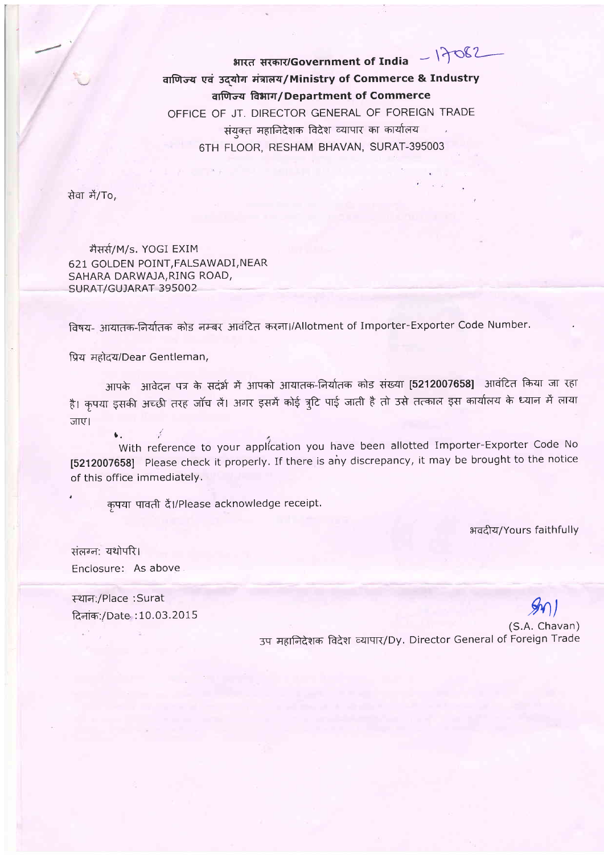$17082$ भारत सरकार/Government of India वाणिज्य एवं उदयोग मंत्रालय/Ministry of Commerce & Industry वाणिज्य विभाग/Department of Commerce OFFICE OF JT. DIRECTOR GENERAL OF FOREIGN TRADE संयक्त महानिदेशक विदेश व्यापार का कार्यालय 6TH FLOOR, RESHAM BHAVAN, SURAT-395003

सेवा में/To,

मैसर्स/M/s. YOGI EXIM 621 GOLDEN POINT, FALSAWADI, NEAR SAHARA DARWAJA, RING ROAD, SURAT/GUJARAT 395002

विषय- आयातक-निर्यातक कोड नम्बर आवंटित करना।/Allotment of Importer-Exporter Code Number.

प्रिय महोदय/Dear Gentleman,

आपके आवेदन पत्र के सदंर्भ में आपको आयातक-निर्यातक कोड संख्या [5212007658] आवंटित किया जा रहा है। कृपया इसकी अच्छी तरह जॉच लैं। अगर इसमें कोई त्र्टि पाई जाती है तो उसे तत्काल इस कार्यालय के ध्यान में लाया जाए।

With reference to your application you have been allotted Importer-Exporter Code No [5212007658] Please check it properly. If there is any discrepancy, it may be brought to the notice of this office immediately.

कपया पावती दें।/Please acknowledge receipt.

भवदीय/Yours faithfully

संलग्न: यथोपरि। Enclosure: As above

 $\mathbf{L}$  .

स्थान:/Place :Surat दिनांक:/Date: 10.03.2015

(S.A. Chavan) उप महानिदेशक विदेश व्यापार/Dy. Director General of Foreign Trade